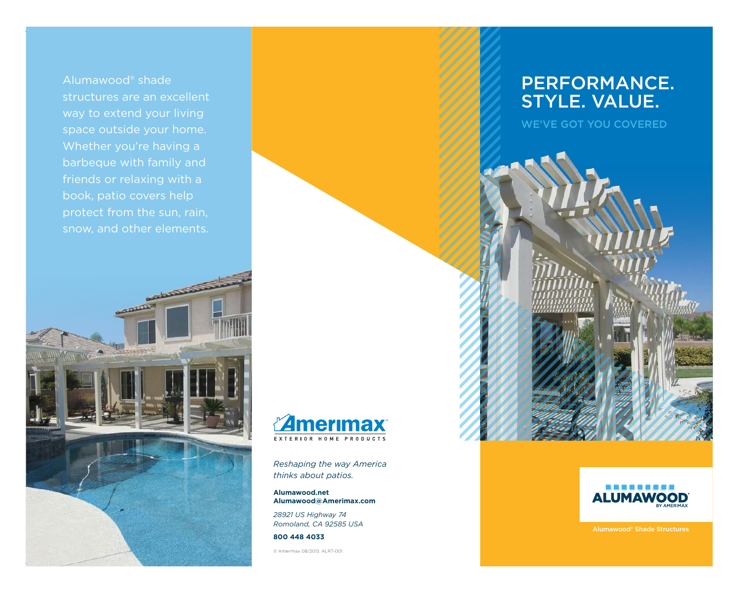Alumawood® shade structures are an excellent way to extend your living space outside your home. Whether you're having a barbeque with family and friends or relaxing with a book, patio covers help protect from the sun, rain, snow, and other elements.

 $\overline{\mathcal{L}}$ 

**REACTION** 



*Reshaping the way America thinks about patios.* 

**Alumawood.net Alumawood@Amerimax.com**

*28921 US Highway 74 Romoland, CA 92585 USA*

**800 448 4033**

© Amerimax 08/2013. ALRT-001

## PERFORMANCE. STYLE. VALUE.

WE'VE GOT YOU COVERED



Alumawood® Shade Structures